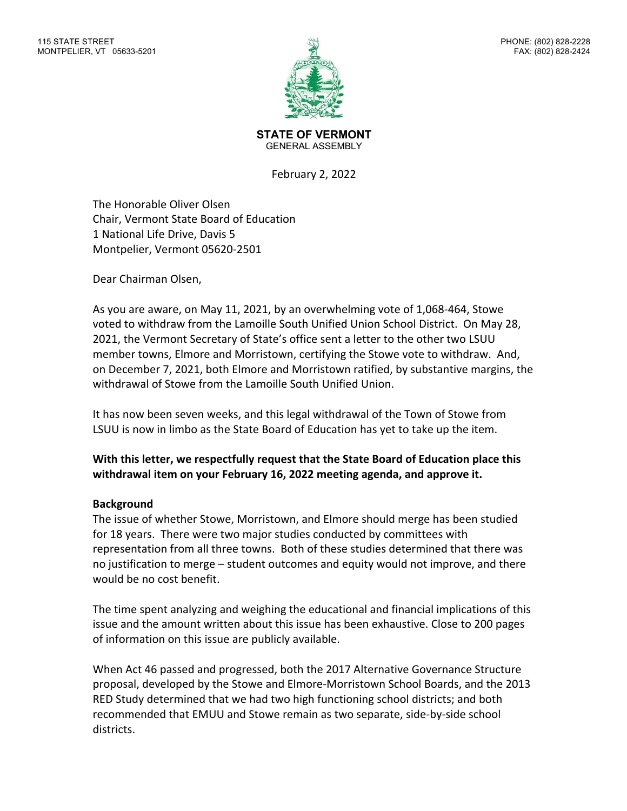

**STATE OF VERMONT** GENERAL ASSEMBLY

February 2, 2022

The Honorable Oliver Olsen Chair, Vermont State Board of Education 1 National Life Drive, Davis 5 Montpelier, Vermont 05620-2501

Dear Chairman Olsen,

As you are aware, on May 11, 2021, by an overwhelming vote of 1,068-464, Stowe voted to withdraw from the Lamoille South Unified Union School District. On May 28, 2021, the Vermont Secretary of State's office sent a letter to the other two LSUU member towns, Elmore and Morristown, certifying the Stowe vote to withdraw. And, on December 7, 2021, both Elmore and Morristown ratified, by substantive margins, the withdrawal of Stowe from the Lamoille South Unified Union.

It has now been seven weeks, and this legal withdrawal of the Town of Stowe from LSUU is now in limbo as the State Board of Education has yet to take up the item.

## **With this letter, we respectfully request that the State Board of Education place this withdrawal item on your February 16, 2022 meeting agenda, and approve it.**

## **Background**

The issue of whether Stowe, Morristown, and Elmore should merge has been studied for 18 years. There were two major studies conducted by committees with representation from all three towns. Both of these studies determined that there was no justification to merge – student outcomes and equity would not improve, and there would be no cost benefit.

The time spent analyzing and weighing the educational and financial implications of this issue and the amount written about this issue has been exhaustive. Close to 200 pages of information on this issue are publicly available.

When Act 46 passed and progressed, both the 2017 Alternative Governance Structure proposal, developed by the Stowe and Elmore-Morristown School Boards, and the 2013 RED Study determined that we had two high functioning school districts; and both recommended that EMUU and Stowe remain as two separate, side-by-side school districts.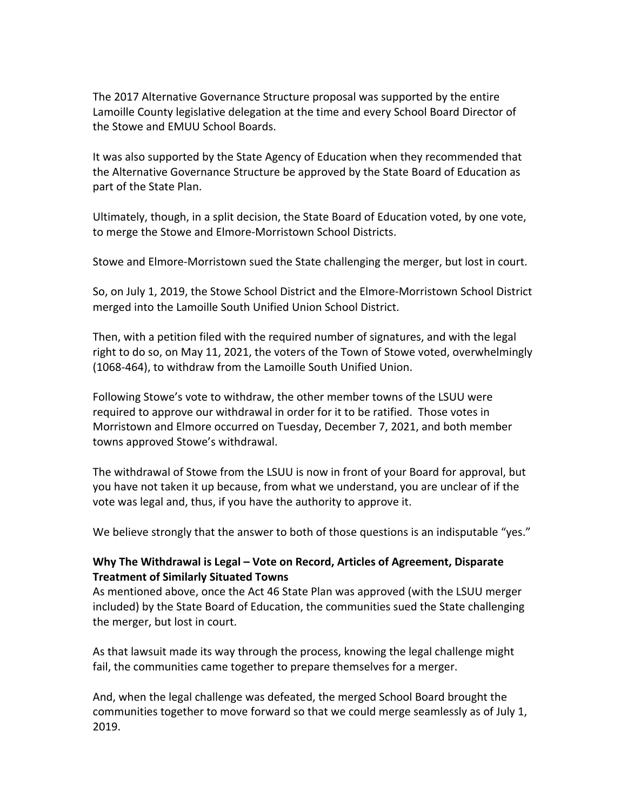The 2017 Alternative Governance Structure proposal was supported by the entire Lamoille County legislative delegation at the time and every School Board Director of the Stowe and EMUU School Boards.

It was also supported by the State Agency of Education when they recommended that the Alternative Governance Structure be approved by the State Board of Education as part of the State Plan.

Ultimately, though, in a split decision, the State Board of Education voted, by one vote, to merge the Stowe and Elmore-Morristown School Districts.

Stowe and Elmore-Morristown sued the State challenging the merger, but lost in court.

So, on July 1, 2019, the Stowe School District and the Elmore-Morristown School District merged into the Lamoille South Unified Union School District.

Then, with a petition filed with the required number of signatures, and with the legal right to do so, on May 11, 2021, the voters of the Town of Stowe voted, overwhelmingly (1068-464), to withdraw from the Lamoille South Unified Union.

Following Stowe's vote to withdraw, the other member towns of the LSUU were required to approve our withdrawal in order for it to be ratified. Those votes in Morristown and Elmore occurred on Tuesday, December 7, 2021, and both member towns approved Stowe's withdrawal.

The withdrawal of Stowe from the LSUU is now in front of your Board for approval, but you have not taken it up because, from what we understand, you are unclear of if the vote was legal and, thus, if you have the authority to approve it.

We believe strongly that the answer to both of those questions is an indisputable "yes."

## **Why The Withdrawal is Legal – Vote on Record, Articles of Agreement, Disparate Treatment of Similarly Situated Towns**

As mentioned above, once the Act 46 State Plan was approved (with the LSUU merger included) by the State Board of Education, the communities sued the State challenging the merger, but lost in court.

As that lawsuit made its way through the process, knowing the legal challenge might fail, the communities came together to prepare themselves for a merger.

And, when the legal challenge was defeated, the merged School Board brought the communities together to move forward so that we could merge seamlessly as of July 1, 2019.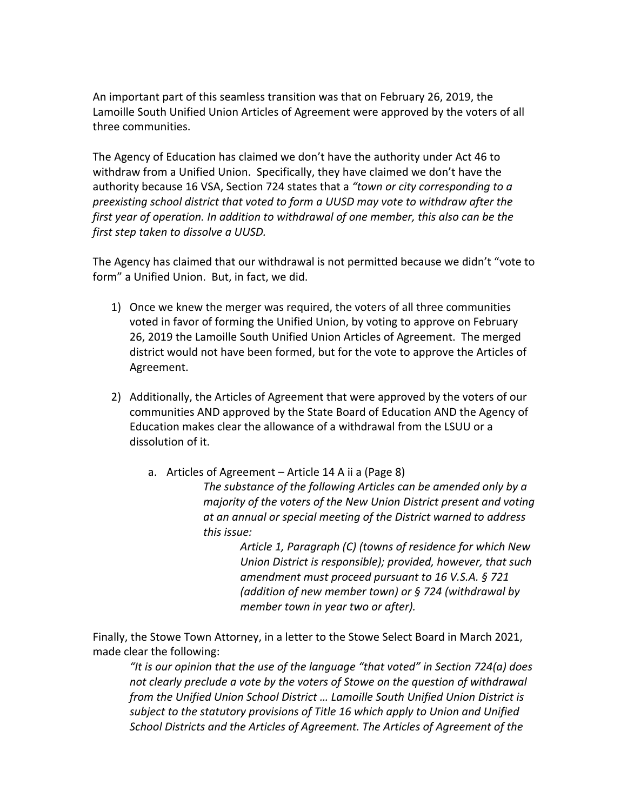An important part of this seamless transition was that on February 26, 2019, the Lamoille South Unified Union Articles of Agreement were approved by the voters of all three communities.

The Agency of Education has claimed we don't have the authority under Act 46 to withdraw from a Unified Union. Specifically, they have claimed we don't have the authority because 16 VSA, Section 724 states that a *"town or city corresponding to a preexisting school district that voted to form a UUSD may vote to withdraw after the first year of operation. In addition to withdrawal of one member, this also can be the first step taken to dissolve a UUSD.* 

The Agency has claimed that our withdrawal is not permitted because we didn't "vote to form" a Unified Union. But, in fact, we did.

- 1) Once we knew the merger was required, the voters of all three communities voted in favor of forming the Unified Union, by voting to approve on February 26, 2019 the Lamoille South Unified Union Articles of Agreement. The merged district would not have been formed, but for the vote to approve the Articles of Agreement.
- 2) Additionally, the Articles of Agreement that were approved by the voters of our communities AND approved by the State Board of Education AND the Agency of Education makes clear the allowance of a withdrawal from the LSUU or a dissolution of it.
	- a. Articles of Agreement Article 14 A ii a (Page 8) *The substance of the following Articles can be amended only by a majority of the voters of the New Union District present and voting at an annual or special meeting of the District warned to address this issue:*

*Article 1, Paragraph (C) (towns of residence for which New Union District is responsible); provided, however, that such amendment must proceed pursuant to 16 V.S.A. § 721 (addition of new member town) or § 724 (withdrawal by member town in year two or after).*

Finally, the Stowe Town Attorney, in a letter to the Stowe Select Board in March 2021, made clear the following:

*"It is our opinion that the use of the language "that voted" in Section 724(a) does not clearly preclude a vote by the voters of Stowe on the question of withdrawal from the Unified Union School District … Lamoille South Unified Union District is subject to the statutory provisions of Title 16 which apply to Union and Unified School Districts and the Articles of Agreement. The Articles of Agreement of the*